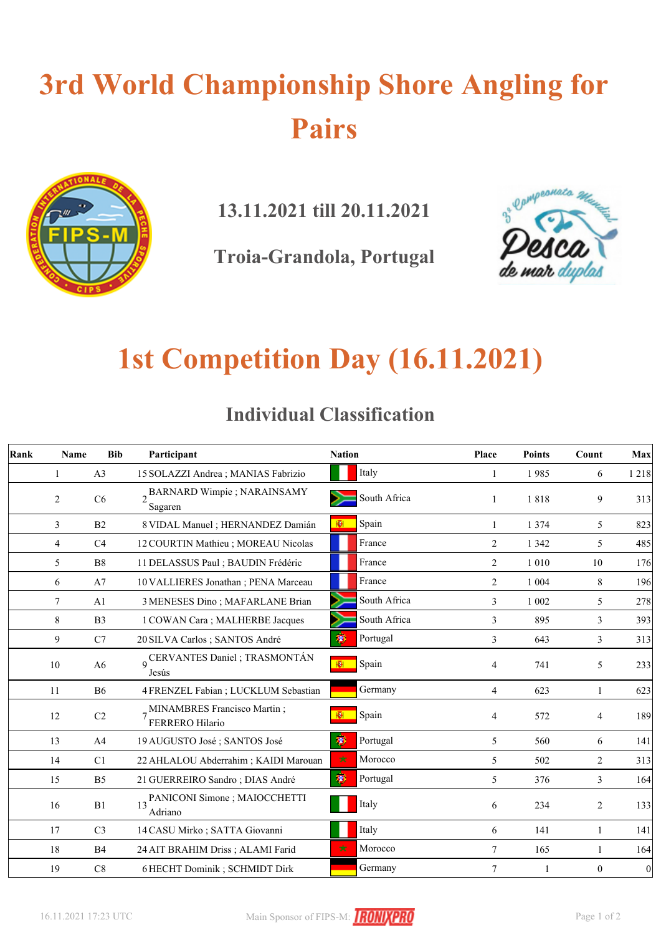# **3rd World Championship Shore Angling for Pairs**



**13.11.2021 till 20.11.2021**

**Troia-Grandola, Portugal**



### **1st Competition Day (16.11.2021)**

|  | <b>Individual Classification</b> |
|--|----------------------------------|
|--|----------------------------------|

| Rank | Name | <b>Bib</b>     | Participant                                      | <b>Nation</b>      | Place          | <b>Points</b> | Count          | Max              |
|------|------|----------------|--------------------------------------------------|--------------------|----------------|---------------|----------------|------------------|
|      | 1    | A3             | 15 SOLAZZI Andrea ; MANIAS Fabrizio              | Italy              | $\mathbf{1}$   | 1985          | 6              | 1218             |
|      | 2    | C6             | BARNARD Wimpie; NARAINSAMY<br>Sagaren            | South Africa       | 1              | 1818          | 9              | 313              |
|      | 3    | B <sub>2</sub> | 8 VIDAL Manuel ; HERNANDEZ Damián                | Spain<br>图         | 1              | 1 3 7 4       | 5              | 823              |
|      | 4    | C <sub>4</sub> | 12 COURTIN Mathieu ; MOREAU Nicolas              | France             | $\overline{c}$ | 1 3 4 2       | 5              | 485              |
|      | 5    | B <sub>8</sub> | 11 DELASSUS Paul ; BAUDIN Frédéric               | France             | 2              | 1 0 1 0       | 10             | 176              |
|      | 6    | A7             | 10 VALLIERES Jonathan; PENA Marceau              | France             | 2              | 1 0 0 4       | 8              | 196              |
|      | 7    | A1             | 3 MENESES Dino; MAFARLANE Brian                  | South Africa       | 3              | 1 0 0 2       | 5              | 278              |
|      | 8    | B <sub>3</sub> | 1 COWAN Cara; MALHERBE Jacques                   | South Africa       | 3              | 895           | 3              | 393              |
|      | 9    | C7             | 20 SILVA Carlos; SANTOS André                    | 掬<br>Portugal      | 3              | 643           | 3              | 313              |
|      | 10   | A <sub>6</sub> | 9 CERVANTES Daniel ; TRASMONTÁN<br>Jesús         | Spain<br>HĐH.      | $\overline{4}$ | 741           | 5              | 233              |
|      | 11   | <b>B6</b>      | 4 FRENZEL Fabian ; LUCKLUM Sebastian             | Germany            | $\overline{4}$ | 623           | 1              | 623              |
|      | 12   | $\rm{C2}$      | 7 MINAMBRES Francisco Martin;<br>FERRERO Hilario | Spain              | 4              | 572           | $\overline{4}$ | 189              |
|      | 13   | A4             | 19 AUGUSTO José ; SANTOS José                    | 渺<br>Portugal      | 5              | 560           | 6              | 141              |
|      | 14   | C1             | 22 AHLALOU Abderrahim ; KAIDI Marouan            | $\star$<br>Morocco | 5              | 502           | 2              | 313              |
|      | 15   | B <sub>5</sub> | 21 GUERREIRO Sandro; DIAS André                  | 渺<br>Portugal      | 5              | 376           | 3              | 164              |
|      | 16   | B1             | PANICONI Simone ; MAIOCCHETTI<br>Adriano         | Italy              | 6              | 234           | 2              | 133              |
|      | 17   | C <sub>3</sub> | 14 CASU Mirko ; SATTA Giovanni                   | Italy              | 6              | 141           | 1              | 141              |
|      | 18   | <b>B4</b>      | 24 AIT BRAHIM Driss; ALAMI Farid                 | Morocco<br>∗       | 7              | 165           | 1              | 164              |
|      | 19   | C8             | 6 HECHT Dominik; SCHMIDT Dirk                    | Germany            | 7              | 1             | $\mathbf{0}$   | $\boldsymbol{0}$ |